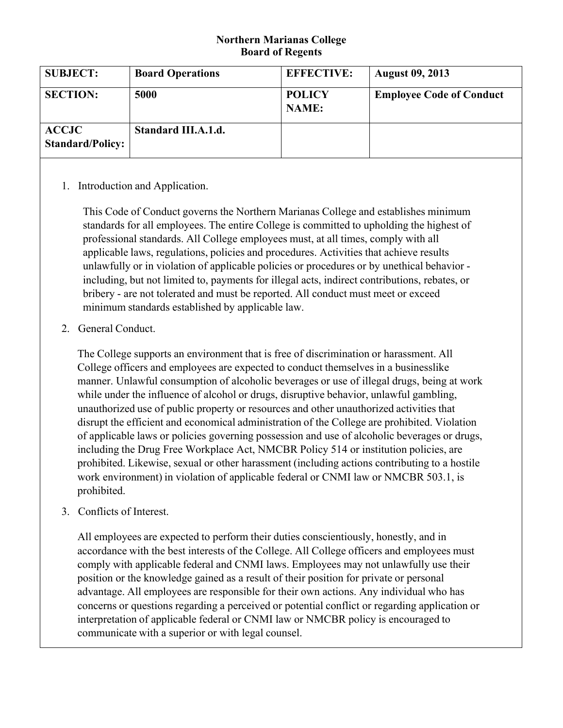## **Northern Marianas College Board of Regents**

| <b>SUBJECT:</b>                         | <b>Board Operations</b> | <b>EFFECTIVE:</b>             | <b>August 09, 2013</b>          |
|-----------------------------------------|-------------------------|-------------------------------|---------------------------------|
| <b>SECTION:</b>                         | 5000                    | <b>POLICY</b><br><b>NAME:</b> | <b>Employee Code of Conduct</b> |
| <b>ACCJC</b><br><b>Standard/Policy:</b> | Standard III.A.1.d.     |                               |                                 |

## 1. Introduction and Application.

This Code of Conduct governs the Northern Marianas College and establishes minimum standards for all employees. The entire College is committed to upholding the highest of professional standards. All College employees must, at all times, comply with all applicable laws, regulations, policies and procedures. Activities that achieve results unlawfully or in violation of applicable policies or procedures or by unethical behavior including, but not limited to, payments for illegal acts, indirect contributions, rebates, or bribery - are not tolerated and must be reported. All conduct must meet or exceed minimum standards established by applicable law.

2. General Conduct.

The College supports an environment that is free of discrimination or harassment. All College officers and employees are expected to conduct themselves in a businesslike manner. Unlawful consumption of alcoholic beverages or use of illegal drugs, being at work while under the influence of alcohol or drugs, disruptive behavior, unlawful gambling, unauthorized use of public property or resources and other unauthorized activities that disrupt the efficient and economical administration of the College are prohibited. Violation of applicable laws or policies governing possession and use of alcoholic beverages or drugs, including the Drug Free Workplace Act, NMCBR Policy 514 or institution policies, are prohibited. Likewise, sexual or other harassment (including actions contributing to a hostile work environment) in violation of applicable federal or CNMI law or NMCBR 503.1, is prohibited.

3. Conflicts of Interest.

All employees are expected to perform their duties conscientiously, honestly, and in accordance with the best interests of the College. All College officers and employees must comply with applicable federal and CNMI laws. Employees may not unlawfully use their position or the knowledge gained as a result of their position for private or personal advantage. All employees are responsible for their own actions. Any individual who has concerns or questions regarding a perceived or potential conflict or regarding application or interpretation of applicable federal or CNMI law or NMCBR policy is encouraged to communicate with a superior or with legal counsel.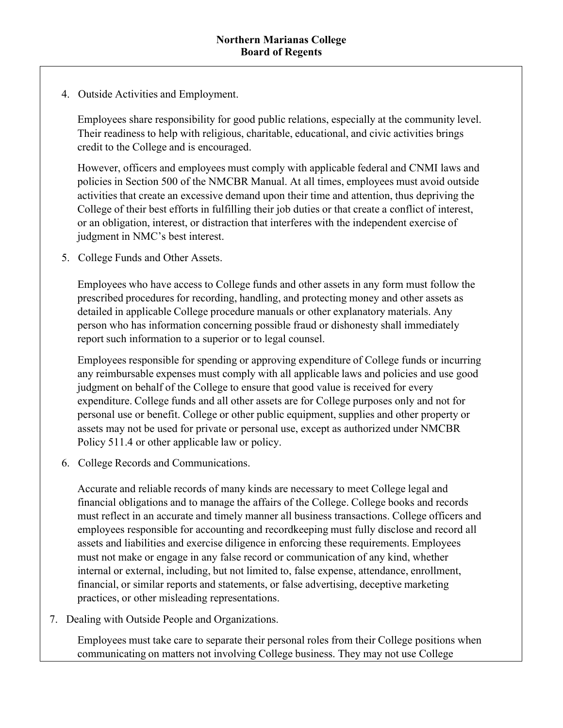4. Outside Activities and Employment.

Employees share responsibility for good public relations, especially at the community level. Their readiness to help with religious, charitable, educational, and civic activities brings credit to the College and is encouraged.

However, officers and employees must comply with applicable federal and CNMI laws and policies in Section 500 of the NMCBR Manual. At all times, employees must avoid outside activities that create an excessive demand upon their time and attention, thus depriving the College of their best efforts in fulfilling their job duties or that create a conflict of interest, or an obligation, interest, or distraction that interferes with the independent exercise of judgment in NMC's best interest.

5. College Funds and Other Assets.

Employees who have access to College funds and other assets in any form must follow the prescribed procedures for recording, handling, and protecting money and other assets as detailed in applicable College procedure manuals or other explanatory materials. Any person who has information concerning possible fraud or dishonesty shall immediately report such information to a superior or to legal counsel.

Employees responsible for spending or approving expenditure of College funds or incurring any reimbursable expenses must comply with all applicable laws and policies and use good judgment on behalf of the College to ensure that good value is received for every expenditure. College funds and all other assets are for College purposes only and not for personal use or benefit. College or other public equipment, supplies and other property or assets may not be used for private or personal use, except as authorized under NMCBR Policy 511.4 or other applicable law or policy.

6. College Records and Communications.

Accurate and reliable records of many kinds are necessary to meet College legal and financial obligations and to manage the affairs of the College. College books and records must reflect in an accurate and timely manner all business transactions. College officers and employees responsible for accounting and recordkeeping must fully disclose and record all assets and liabilities and exercise diligence in enforcing these requirements. Employees must not make or engage in any false record or communication of any kind, whether internal or external, including, but not limited to, false expense, attendance, enrollment, financial, or similar reports and statements, or false advertising, deceptive marketing practices, or other misleading representations.

7. Dealing with Outside People and Organizations.

Employees must take care to separate their personal roles from their College positions when communicating on matters not involving College business. They may not use College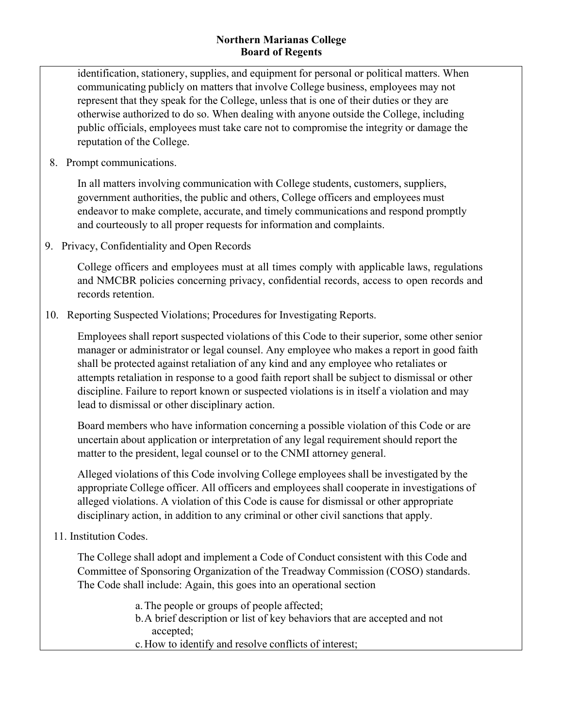## **Northern Marianas College Board of Regents**

identification, stationery, supplies, and equipment for personal or political matters. When communicating publicly on matters that involve College business, employees may not represent that they speak for the College, unless that is one of their duties or they are otherwise authorized to do so. When dealing with anyone outside the College, including public officials, employees must take care not to compromise the integrity or damage the reputation of the College.

8. Prompt communications.

In all matters involving communication with College students, customers, suppliers, government authorities, the public and others, College officers and employees must endeavor to make complete, accurate, and timely communications and respond promptly and courteously to all proper requests for information and complaints.

9. Privacy, Confidentiality and Open Records

College officers and employees must at all times comply with applicable laws, regulations and NMCBR policies concerning privacy, confidential records, access to open records and records retention.

10. Reporting Suspected Violations; Procedures for Investigating Reports.

Employees shall report suspected violations of this Code to their superior, some other senior manager or administrator or legal counsel. Any employee who makes a report in good faith shall be protected against retaliation of any kind and any employee who retaliates or attempts retaliation in response to a good faith report shall be subject to dismissal or other discipline. Failure to report known or suspected violations is in itself a violation and may lead to dismissal or other disciplinary action.

Board members who have information concerning a possible violation of this Code or are uncertain about application or interpretation of any legal requirement should report the matter to the president, legal counsel or to the CNMI attorney general.

Alleged violations of this Code involving College employees shall be investigated by the appropriate College officer. All officers and employees shall cooperate in investigations of alleged violations. A violation of this Code is cause for dismissal or other appropriate disciplinary action, in addition to any criminal or other civil sanctions that apply.

11. Institution Codes.

The College shall adopt and implement a Code of Conduct consistent with this Code and Committee of Sponsoring Organization of the Treadway Commission (COSO) standards. The Code shall include: Again, this goes into an operational section

> a.The people or groups of people affected; b.A brief description or list of key behaviors that are accepted and not accepted; c.How to identify and resolve conflicts of interest;